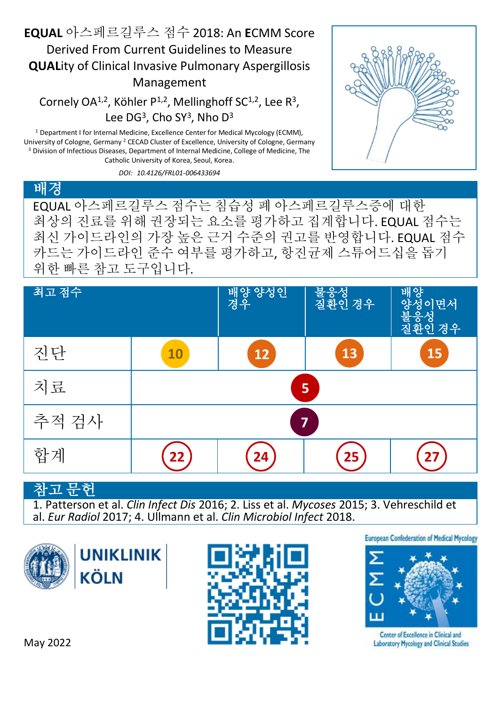#### **EQUAL** 아스페르길루스 점수 2018: An **E**CMM Score Derived From Current Guidelines to Measure **QUAL**ity of Clinical Invasive Pulmonary Aspergillosis Management

Cornely OA<sup>1,2</sup>, Köhler P<sup>1,2</sup>, Mellinghoff SC<sup>1,2</sup>, Lee R<sup>3</sup>, Lee  $DG<sup>3</sup>$ , Cho SY<sup>3</sup>, Nho D<sup>3</sup>

<sup>1</sup> Department I for Internal Medicine, Excellence Center for Medical Mycology (ECMM), University of Cologne, Germany <sup>2</sup> CECAD Cluster of Excellence, University of Cologne, Germany <sup>3</sup> Division of Infectious Diseases, Department of Internal Medicine, College of Medicine, The Catholic University of Korea, Seoul, Korea.

*DOI: 10.4126/FRL01-006433694*



#### 배경 EQUAL 아스페르길루스 점수는 침습성 폐 아스페르길루스증에 대한 최상의 진료를 위해 권장되는 요소를 평가하고 집계합니다. EQUAL 점수는 최신 가이드라인의 가장 높은 근거 수준의 권고를 반영합니다. EQUAL 점수

카드는 가이드라인 준수 여부를 평가하고, 항진균제 스튜어드십을 돕기 위한 빠른 참고 도구입니다.

| 최고 점수 |    | 배양 양성인<br>경우 | 불웅성<br> 질환인 경우 | 행양<br>성이면서<br>불웅성<br>질환인 경우 |
|-------|----|--------------|----------------|-----------------------------|
| 진단    | 10 | 12           | 13             | 15                          |
| 치료    | 5  |              |                |                             |
| 추적 검사 | 7  |              |                |                             |
| 합계    |    | 24           | 25             |                             |

### 고 무허

1. Patterson et al. *Clin Infect Dis* 2016; 2. Liss et al. *Mycoses* 2015; 3. Vehreschild et al. *Eur Radiol* 2017; 4. Ullmann et al. *Clin Microbiol Infect* 2018.





**European Confederation of Medical Mycology** 



**Center of Excellence in Clinical and Laboratory Mycology and Clinical Studies**